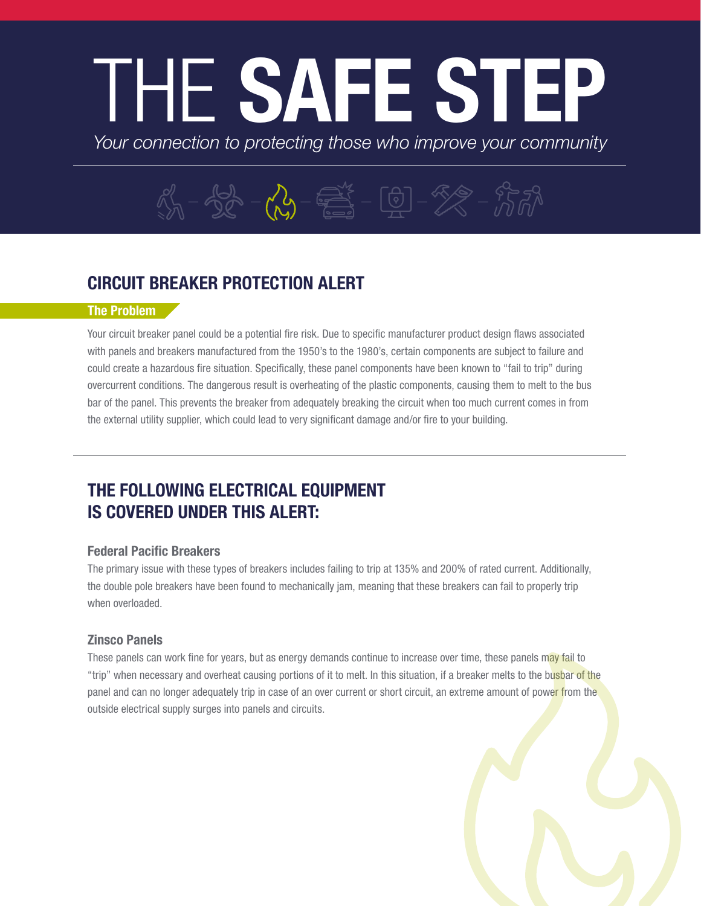# THE SAFE STEP

*Your connection to protecting those who improve your community*

## $\frac{1}{10} - \frac{1}{100} - \frac{1}{100} - \frac{1}{100} - \frac{1}{100} - \frac{1}{100} - \frac{1}{100} - \frac{1}{100} - \frac{1}{100} - \frac{1}{100} - \frac{1}{100} - \frac{1}{100} - \frac{1}{100} - \frac{1}{100} - \frac{1}{100} - \frac{1}{100} - \frac{1}{100} - \frac{1}{100} - \frac{1}{100} - \frac{1}{100} - \frac{1}{100} - \frac{1}{100} - \$

### CIRCUIT BREAKER PROTECTION ALERT

#### The Problem

Your circuit breaker panel could be a potential fire risk. Due to specific manufacturer product design flaws associated with panels and breakers manufactured from the 1950's to the 1980's, certain components are subject to failure and could create a hazardous fire situation. Specifically, these panel components have been known to "fail to trip" during overcurrent conditions. The dangerous result is overheating of the plastic components, causing them to melt to the bus bar of the panel. This prevents the breaker from adequately breaking the circuit when too much current comes in from the external utility supplier, which could lead to very significant damage and/or fire to your building.

### THE FOLLOWING ELECTRICAL EQUIPMENT IS COVERED UNDER THIS ALERT:

#### Federal Pacific Breakers

The primary issue with these types of breakers includes failing to trip at 135% and 200% of rated current. Additionally, the double pole breakers have been found to mechanically jam, meaning that these breakers can fail to properly trip when overloaded.

#### Zinsco Panels

These panels can work fine for years, but as energy demands continue to increase over time, these panels may fail to "trip" when necessary and overheat causing portions of it to melt. In this situation, if a breaker melts to the busbar of the panel and can no longer adequately trip in case of an over current or short circuit, an extreme amount of power from the outside electrical supply surges into panels and circuits.